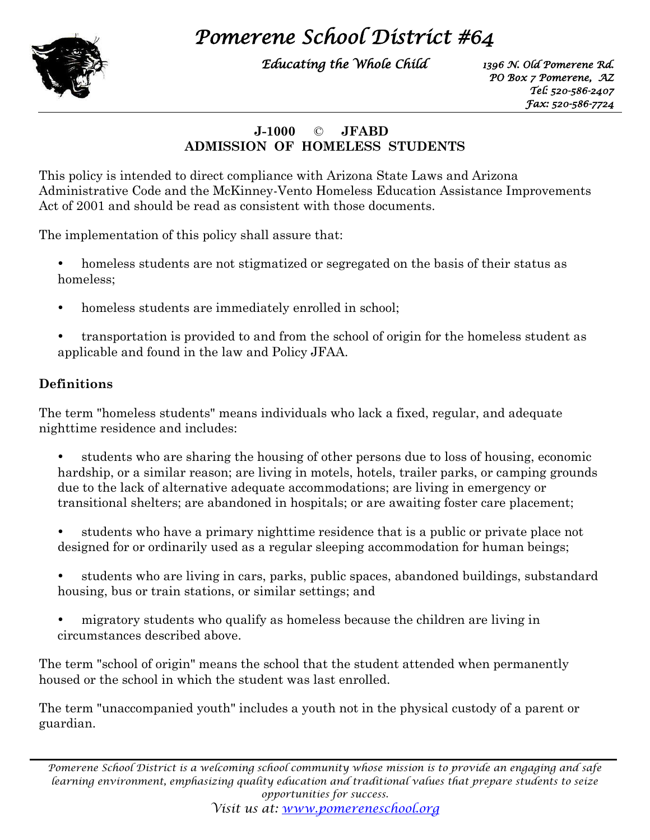# *Pomerene School District #64*



*Educating the Whole Child*

*1396 N. Old Pomerene Rd. PO Box 7 Pomerene, AZ Tel: 520-586-2407 Fax: 520-586-7724* 

### **J-1000** © **JFABD ADMISSION OF HOMELESS STUDENTS**

This policy is intended to direct compliance with Arizona State Laws and Arizona Administrative Code and the McKinney-Vento Homeless Education Assistance Improvements Act of 2001 and should be read as consistent with those documents.

The implementation of this policy shall assure that:

- homeless students are not stigmatized or segregated on the basis of their status as homeless;
- homeless students are immediately enrolled in school;
- transportation is provided to and from the school of origin for the homeless student as applicable and found in the law and Policy JFAA.

### **Definitions**

The term "homeless students" means individuals who lack a fixed, regular, and adequate nighttime residence and includes:

- students who are sharing the housing of other persons due to loss of housing, economic hardship, or a similar reason; are living in motels, hotels, trailer parks, or camping grounds due to the lack of alternative adequate accommodations; are living in emergency or transitional shelters; are abandoned in hospitals; or are awaiting foster care placement;
- students who have a primary nighttime residence that is a public or private place not designed for or ordinarily used as a regular sleeping accommodation for human beings;
- students who are living in cars, parks, public spaces, abandoned buildings, substandard housing, bus or train stations, or similar settings; and
- migratory students who qualify as homeless because the children are living in circumstances described above.

The term "school of origin" means the school that the student attended when permanently housed or the school in which the student was last enrolled.

The term "unaccompanied youth" includes a youth not in the physical custody of a parent or guardian.

*Pomerene School District is a welcoming school community whose mission is to provide an engaging and safe learning environment, emphasizing quality education and traditional values that prepare students to seize opportunities for success.*

*Visit us at: [www.pomereneschool.org](http://www.pomereneschool.org/)*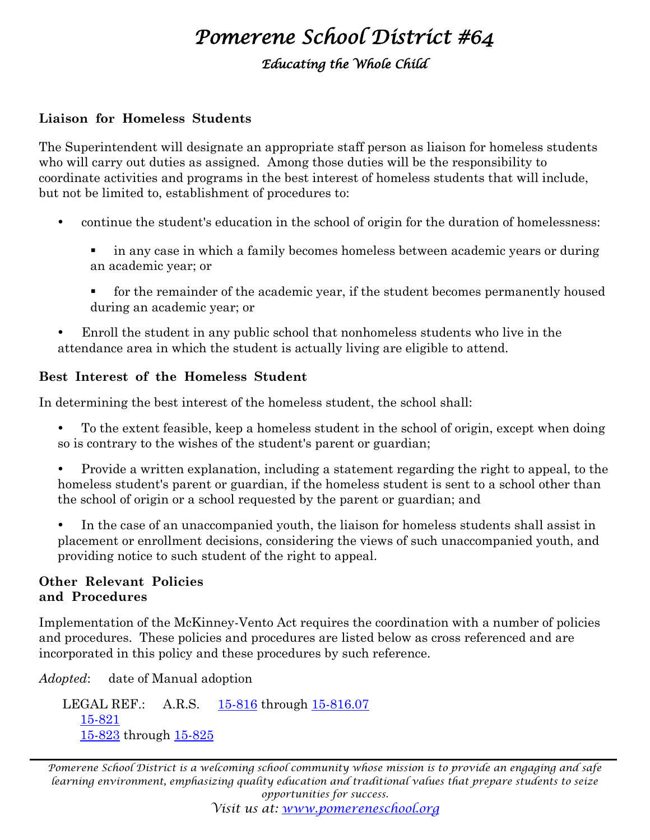# *Pomerene School District #64*

*Educating the Whole Child*

#### **Liaison for Homeless Students**

The Superintendent will designate an appropriate staff person as liaison for homeless students who will carry out duties as assigned. Among those duties will be the responsibility to coordinate activities and programs in the best interest of homeless students that will include, but not be limited to, establishment of procedures to:

- continue the student's education in the school of origin for the duration of homelessness:
	- in any case in which a family becomes homeless between academic years or during an academic year; or
	- for the remainder of the academic year, if the student becomes permanently housed during an academic year; or
- Enroll the student in any public school that nonhomeless students who live in the attendance area in which the student is actually living are eligible to attend.

#### **Best Interest of the Homeless Student**

In determining the best interest of the homeless student, the school shall:

- To the extent feasible, keep a homeless student in the school of origin, except when doing so is contrary to the wishes of the student's parent or guardian;
- Provide a written explanation, including a statement regarding the right to appeal, to the homeless student's parent or guardian, if the homeless student is sent to a school other than the school of origin or a school requested by the parent or guardian; and
- In the case of an unaccompanied youth, the liaison for homeless students shall assist in placement or enrollment decisions, considering the views of such unaccompanied youth, and providing notice to such student of the right to appeal.

#### **Other Relevant Policies and Procedures**

Implementation of the McKinney-Vento Act requires the coordination with a number of policies and procedures. These policies and procedures are listed below as cross referenced and are incorporated in this policy and these procedures by such reference.

*Adopted*: date of Manual adoption

LEGAL REF.: A.R.S. [15-816](http://lp.ctspublish.com/asba/public/lpext.dll?f=FifLink&t=document-frame.htm&l=jump&iid=C%3A%5C1%2042Nfo%5CTitle15.nfo&d=15-816&sid=6f7ceaa1.816de234.0.0#JD_15-816) through [15-816.07](http://lp.ctspublish.com/asba/public/lpext.dll?f=FifLink&t=document-frame.htm&l=jump&iid=C%3A%5C1%2042Nfo%5CTitle15.nfo&d=15-816.07&sid=6f7ceaa1.816de234.0.0#JD_15-81607) [15-821](http://lp.ctspublish.com/asba/public/lpext.dll?f=FifLink&t=document-frame.htm&l=jump&iid=C%3A%5C1%2042Nfo%5CTitle15.nfo&d=15-821&sid=6f7ceaa1.816de234.0.0#JD_15-821) [15-823](http://lp.ctspublish.com/asba/public/lpext.dll?f=FifLink&t=document-frame.htm&l=jump&iid=C%3A%5C1%2042Nfo%5CTitle15.nfo&d=15-823&sid=6f7ceaa1.816de234.0.0#JD_15-823) through [15-825](http://lp.ctspublish.com/asba/public/lpext.dll?f=FifLink&t=document-frame.htm&l=jump&iid=C%3A%5C1%2042Nfo%5CTitle15.nfo&d=15-825&sid=6f7ceaa1.816de234.0.0#JD_15-825)

*Pomerene School District is a welcoming school community whose mission is to provide an engaging and safe learning environment, emphasizing quality education and traditional values that prepare students to seize opportunities for success.*

*Visit us at: [www.pomereneschool.org](http://www.pomereneschool.org/)*